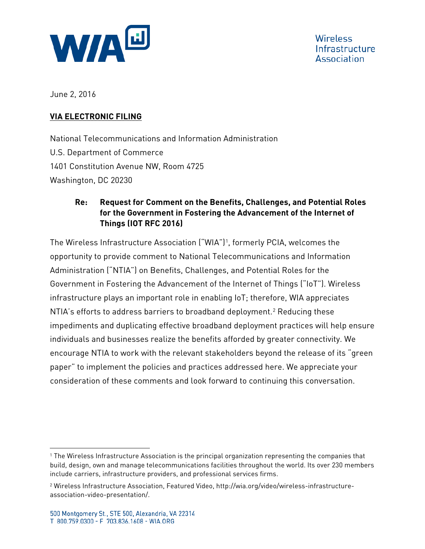

**Wireless** Infrastructure Association

June 2, 2016

#### **VIA ELECTRONIC FILING**

National Telecommunications and Information Administration U.S. Department of Commerce 1401 Constitution Avenue NW, Room 4725 Washington, DC 20230

### **Re: Request for Comment on the Benefits, Challenges, and Potential Roles for the Government in Fostering the Advancement of the Internet of Things (IOT RFC 2016)**

The Wireless Infrastructure Association ("WIA")[1,](#page-0-0) formerly PCIA, welcomes the opportunity to provide comment to National Telecommunications and Information Administration ("NTIA") on Benefits, Challenges, and Potential Roles for the Government in Fostering the Advancement of the Internet of Things ("IoT"). Wireless infrastructure plays an important role in enabling IoT; therefore, WIA appreciates NTIA's efforts to address barriers to broadband deployment.<sup>[2](#page-0-1)</sup> Reducing these impediments and duplicating effective broadband deployment practices will help ensure individuals and businesses realize the benefits afforded by greater connectivity. We encourage NTIA to work with the relevant stakeholders beyond the release of its "green paper" to implement the policies and practices addressed here. We appreciate your consideration of these comments and look forward to continuing this conversation.

<span id="page-0-0"></span><sup>1</sup> The Wireless Infrastructure Association is the principal organization representing the companies that build, design, own and manage telecommunications facilities throughout the world. Its over 230 members include carriers, infrastructure providers, and professional services firms.

<span id="page-0-1"></span><sup>2</sup> Wireless Infrastructure Association, Featured Video, http://wia.org/video/wireless-infrastructureassociation-video-presentation/.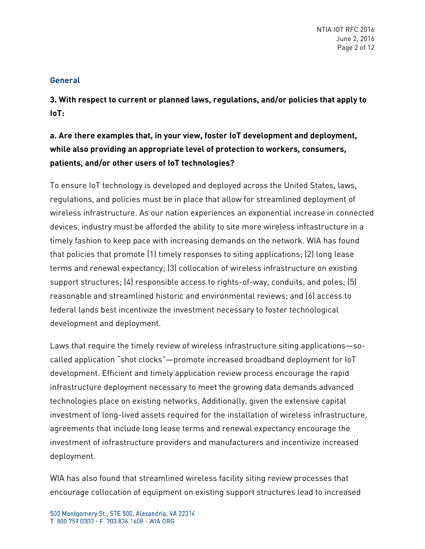#### **General**

**3. With respect to current or planned laws, regulations, and/or policies that apply to IoT:** 

**a. Are there examples that, in your view, foster IoT development and deployment, while also providing an appropriate level of protection to workers, consumers, patients, and/or other users of IoT technologies?** 

To ensure IoT technology is developed and deployed across the United States, laws, regulations, and policies must be in place that allow for streamlined deployment of wireless infrastructure. As our nation experiences an exponential increase in connected devices, industry must be afforded the ability to site more wireless infrastructure in a timely fashion to keep pace with increasing demands on the network. WIA has found that policies that promote (1) timely responses to siting applications; (2) long lease terms and renewal expectancy; (3) collocation of wireless infrastructure on existing support structures; (4) responsible access to rights-of-way, conduits, and poles; (5) reasonable and streamlined historic and environmental reviews; and (6) access to federal lands best incentivize the investment necessary to foster technological development and deployment.

Laws that require the timely review of wireless infrastructure siting applications—socalled application "shot clocks"—promote increased broadband deployment for IoT development. Efficient and timely application review process encourage the rapid infrastructure deployment necessary to meet the growing data demands advanced technologies place on existing networks. Additionally, given the extensive capital investment of long-lived assets required for the installation of wireless infrastructure, agreements that include long lease terms and renewal expectancy encourage the investment of infrastructure providers and manufacturers and incentivize increased deployment.

WIA has also found that streamlined wireless facility siting review processes that encourage collocation of equipment on existing support structures lead to increased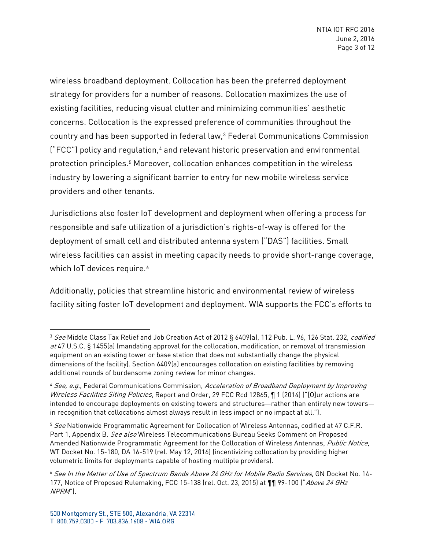wireless broadband deployment. Collocation has been the preferred deployment strategy for providers for a number of reasons. Collocation maximizes the use of existing facilities, reducing visual clutter and minimizing communities' aesthetic concerns. Collocation is the expressed preference of communities throughout the country and has been supported in federal law,[3](#page-2-0) Federal Communications Commission ("FCC") policy and regulation,<sup>[4](#page-2-1)</sup> and relevant historic preservation and environmental protection principles.<sup>[5](#page-2-2)</sup> Moreover, collocation enhances competition in the wireless industry by lowering a significant barrier to entry for new mobile wireless service providers and other tenants.

Jurisdictions also foster IoT development and deployment when offering a process for responsible and safe utilization of a jurisdiction's rights-of-way is offered for the deployment of small cell and distributed antenna system ("DAS") facilities. Small wireless facilities can assist in meeting capacity needs to provide short-range coverage, which IoT devices require.<sup>[6](#page-2-3)</sup>

Additionally, policies that streamline historic and environmental review of wireless facility siting foster IoT development and deployment. WIA supports the FCC's efforts to

<span id="page-2-0"></span><sup>3</sup> See Middle Class Tax Relief and Job Creation Act of 2012 § 6409(a), 112 Pub. L. 96, 126 Stat. 232, codified at 47 U.S.C. § 1455(a) (mandating approval for the collocation, modification, or removal of transmission equipment on an existing tower or base station that does not substantially change the physical dimensions of the facility). Section 6409(a) encourages collocation on existing facilities by removing additional rounds of burdensome zoning review for minor changes.

<span id="page-2-1"></span><sup>&</sup>lt;sup>4</sup> See, e.g., Federal Communications Commission, Acceleration of Broadband Deployment by Improving Wireless Facilities Siting Policies, Report and Order, 29 FCC Rcd 12865, 1 1 (2014) ("[O]ur actions are intended to encourage deployments on existing towers and structures—rather than entirely new towers in recognition that collocations almost always result in less impact or no impact at all.").

<span id="page-2-2"></span><sup>&</sup>lt;sup>5</sup> See Nationwide Programmatic Agreement for Collocation of Wireless Antennas, codified at 47 C.F.R. Part 1, Appendix B. See also Wireless Telecommunications Bureau Seeks Comment on Proposed Amended Nationwide Programmatic Agreement for the Collocation of Wireless Antennas, Public Notice, WT Docket No. 15-180, DA 16-519 (rel. May 12, 2016) (incentivizing collocation by providing higher volumetric limits for deployments capable of hosting multiple providers).

<span id="page-2-3"></span><sup>6</sup> See In the Matter of Use of Spectrum Bands Above 24 GHz for Mobile Radio Services, GN Docket No. 14- 177, Notice of Proposed Rulemaking, FCC 15-138 (rel. Oct. 23, 2015) at 11 99-100 ("Above 24 GHz NPRM").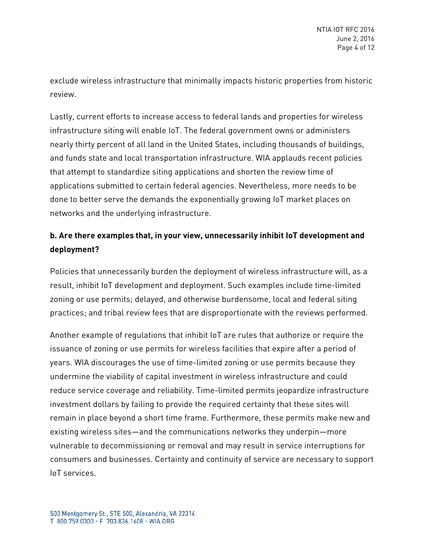exclude wireless infrastructure that minimally impacts historic properties from historic review.

Lastly, current efforts to increase access to federal lands and properties for wireless infrastructure siting will enable IoT. The federal government owns or administers nearly thirty percent of all land in the United States, including thousands of buildings, and funds state and local transportation infrastructure. WIA applauds recent policies that attempt to standardize siting applications and shorten the review time of applications submitted to certain federal agencies. Nevertheless, more needs to be done to better serve the demands the exponentially growing IoT market places on networks and the underlying infrastructure.

## **b. Are there examples that, in your view, unnecessarily inhibit IoT development and deployment?**

Policies that unnecessarily burden the deployment of wireless infrastructure will, as a result, inhibit IoT development and deployment. Such examples include time-limited zoning or use permits; delayed, and otherwise burdensome, local and federal siting practices; and tribal review fees that are disproportionate with the reviews performed.

Another example of regulations that inhibit IoT are rules that authorize or require the issuance of zoning or use permits for wireless facilities that expire after a period of years. WIA discourages the use of time-limited zoning or use permits because they undermine the viability of capital investment in wireless infrastructure and could reduce service coverage and reliability. Time-limited permits jeopardize infrastructure investment dollars by failing to provide the required certainty that these sites will remain in place beyond a short time frame. Furthermore, these permits make new and existing wireless sites—and the communications networks they underpin—more vulnerable to decommissioning or removal and may result in service interruptions for consumers and businesses. Certainty and continuity of service are necessary to support IoT services.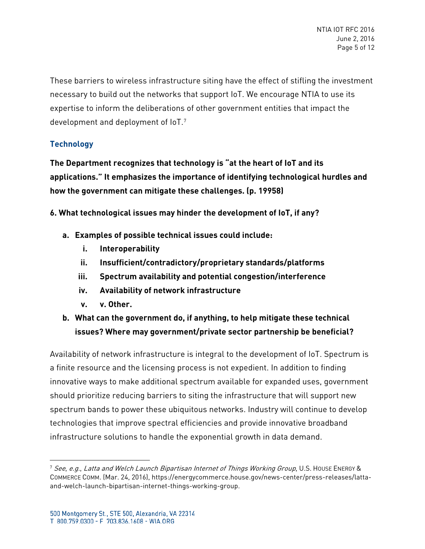These barriers to wireless infrastructure siting have the effect of stifling the investment necessary to build out the networks that support IoT. We encourage NTIA to use its expertise to inform the deliberations of other government entities that impact the development and deployment of  $10T$ .<sup>[7](#page-4-0)</sup>

### **Technology**

**The Department recognizes that technology is "at the heart of IoT and its applications." It emphasizes the importance of identifying technological hurdles and how the government can mitigate these challenges. (p. 19958)** 

**6. What technological issues may hinder the development of IoT, if any?** 

- **a. Examples of possible technical issues could include:** 
	- **i. Interoperability**
	- **ii. Insufficient/contradictory/proprietary standards/platforms**
	- **iii. Spectrum availability and potential congestion/interference**
	- **iv. Availability of network infrastructure**
	- **v. v. Other.**
- **b. What can the government do, if anything, to help mitigate these technical issues? Where may government/private sector partnership be beneficial?**

Availability of network infrastructure is integral to the development of IoT. Spectrum is a finite resource and the licensing process is not expedient. In addition to finding innovative ways to make additional spectrum available for expanded uses, government should prioritize reducing barriers to siting the infrastructure that will support new spectrum bands to power these ubiquitous networks. Industry will continue to develop technologies that improve spectral efficiencies and provide innovative broadband infrastructure solutions to handle the exponential growth in data demand.

l

<span id="page-4-0"></span> $^7$  See, e.g., Latta and Welch Launch Bipartisan Internet of Things Working Group, U.S. HOUSE ENERGY & COMMERCE COMM. (Mar. 24, 2016), https://energycommerce.house.gov/news-center/press-releases/lattaand-welch-launch-bipartisan-internet-things-working-group.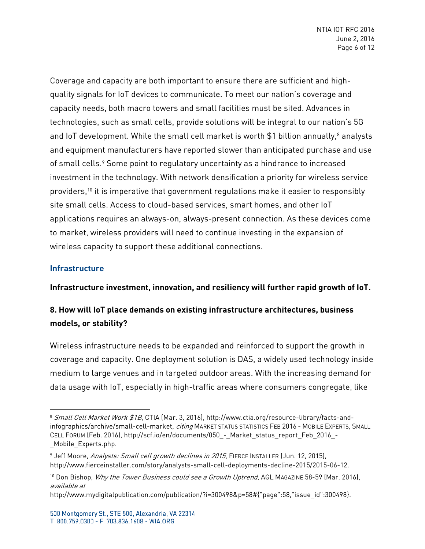Coverage and capacity are both important to ensure there are sufficient and highquality signals for IoT devices to communicate. To meet our nation's coverage and capacity needs, both macro towers and small facilities must be sited. Advances in technologies, such as small cells, provide solutions will be integral to our nation's 5G and IoT development. While the small cell market is worth \$1 billion annually,<sup>[8](#page-5-0)</sup> analysts and equipment manufacturers have reported slower than anticipated purchase and use of small cells.<sup>[9](#page-5-1)</sup> Some point to regulatory uncertainty as a hindrance to increased investment in the technology. With network densification a priority for wireless service providers,<sup>[10](#page-5-2)</sup> it is imperative that government regulations make it easier to responsibly site small cells. Access to cloud-based services, smart homes, and other IoT applications requires an always-on, always-present connection. As these devices come to market, wireless providers will need to continue investing in the expansion of wireless capacity to support these additional connections.

#### **Infrastructure**

 $\overline{a}$ 

**Infrastructure investment, innovation, and resiliency will further rapid growth of IoT.** 

# **8. How will IoT place demands on existing infrastructure architectures, business models, or stability?**

Wireless infrastructure needs to be expanded and reinforced to support the growth in coverage and capacity. One deployment solution is DAS, a widely used technology inside medium to large venues and in targeted outdoor areas. With the increasing demand for data usage with IoT, especially in high-traffic areas where consumers congregate, like

<span id="page-5-0"></span><sup>8</sup> Small Cell Market Work \$1B, CTIA (Mar. 3, 2016), http://www.ctia.org/resource-library/facts-andinfographics/archive/small-cell-market, *citing* MARKET STATUS STATISTICS FEB 2016 - MOBILE EXPERTS, SMALL CELL FORUM (Feb. 2016), http://scf.io/en/documents/050 - Market\_status\_report\_Feb\_2016\_-Mobile Experts.php.

<span id="page-5-1"></span><sup>&</sup>lt;sup>9</sup> Jeff Moore, Analysts: Small cell growth declines in 2015, FIERCE INSTALLER (Jun. 12, 2015), http://www.fierceinstaller.com/story/analysts-small-cell-deployments-decline-2015/2015-06-12.

<span id="page-5-2"></span><sup>&</sup>lt;sup>10</sup> Don Bishop, *Why the Tower Business could see a Growth Uptrend*, AGL MAGAZINE 58-59 (Mar. 2016), available at

http://www.mydigitalpublication.com/publication/?i=300498&p=58#{"page":58,"issue\_id":300498}.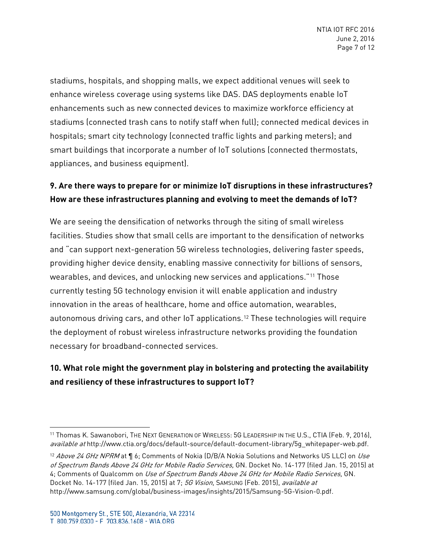stadiums, hospitals, and shopping malls, we expect additional venues will seek to enhance wireless coverage using systems like DAS. DAS deployments enable IoT enhancements such as new connected devices to maximize workforce efficiency at stadiums (connected trash cans to notify staff when full); connected medical devices in hospitals; smart city technology (connected traffic lights and parking meters); and smart buildings that incorporate a number of IoT solutions (connected thermostats, appliances, and business equipment).

## **9. Are there ways to prepare for or minimize IoT disruptions in these infrastructures? How are these infrastructures planning and evolving to meet the demands of IoT?**

We are seeing the densification of networks through the siting of small wireless facilities. Studies show that small cells are important to the densification of networks and "can support next-generation 5G wireless technologies, delivering faster speeds, providing higher device density, enabling massive connectivity for billions of sensors, wearables, and devices, and unlocking new services and applications."[11](#page-6-0) Those currently testing 5G technology envision it will enable application and industry innovation in the areas of healthcare, home and office automation, wearables, autonomous driving cars, and other IoT applications.[12](#page-6-1) These technologies will require the deployment of robust wireless infrastructure networks providing the foundation necessary for broadband-connected services.

# **10. What role might the government play in bolstering and protecting the availability and resiliency of these infrastructures to support IoT?**

<span id="page-6-0"></span><sup>11</sup> Thomas K. Sawanobori, THE NEXT GENERATION OF WIRELESS: 5G LEADERSHIP IN THE U.S., CTIA (Feb. 9, 2016), available at http://www.ctia.org/docs/default-source/default-document-library/5q\_whitepaper-web.pdf.

<span id="page-6-1"></span><sup>&</sup>lt;sup>12</sup> Above 24 GHz NPRM at ¶ 6; Comments of Nokia (D/B/A Nokia Solutions and Networks US LLC) on Use of Spectrum Bands Above 24 GHz for Mobile Radio Services, GN. Docket No. 14-177 (filed Jan. 15, 2015) at 4: Comments of Qualcomm on Use of Spectrum Bands Above 24 GHz for Mobile Radio Services, GN. Docket No. 14-177 (filed Jan. 15, 2015) at 7; 5G Vision, SAMSUNG (Feb. 2015), available at http://www.samsung.com/global/business-images/insights/2015/Samsung-5G-Vision-0.pdf.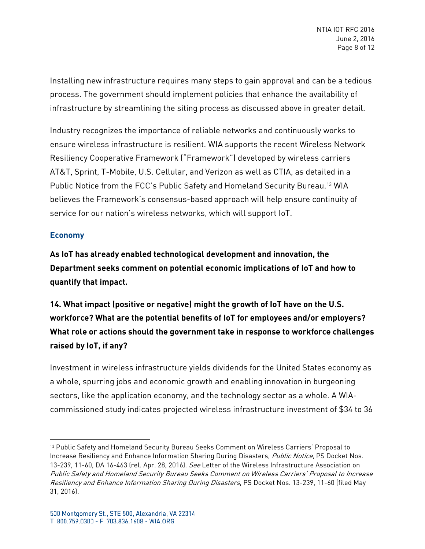Installing new infrastructure requires many steps to gain approval and can be a tedious process. The government should implement policies that enhance the availability of infrastructure by streamlining the siting process as discussed above in greater detail.

Industry recognizes the importance of reliable networks and continuously works to ensure wireless infrastructure is resilient. WIA supports the recent Wireless Network Resiliency Cooperative Framework ("Framework") developed by wireless carriers AT&T, Sprint, T-Mobile, U.S. Cellular, and Verizon as well as CTIA, as detailed in a Public Notice from the FCC's Public Safety and Homeland Security Bureau.[13](#page-7-0) WIA believes the Framework's consensus-based approach will help ensure continuity of service for our nation's wireless networks, which will support IoT.

#### **Economy**

l

**As IoT has already enabled technological development and innovation, the Department seeks comment on potential economic implications of IoT and how to quantify that impact.** 

**14. What impact (positive or negative) might the growth of IoT have on the U.S. workforce? What are the potential benefits of IoT for employees and/or employers? What role or actions should the government take in response to workforce challenges raised by IoT, if any?** 

Investment in wireless infrastructure yields dividends for the United States economy as a whole, spurring jobs and economic growth and enabling innovation in burgeoning sectors, like the application economy, and the technology sector as a whole. A WIAcommissioned study indicates projected wireless infrastructure investment of \$34 to 36

<span id="page-7-0"></span><sup>&</sup>lt;sup>13</sup> Public Safety and Homeland Security Bureau Seeks Comment on Wireless Carriers' Proposal to Increase Resiliency and Enhance Information Sharing During Disasters, Public Notice, PS Docket Nos. 13-239, 11-60, DA 16-463 (rel. Apr. 28, 2016). See Letter of the Wireless Infrastructure Association on Public Safety and Homeland Security Bureau Seeks Comment on Wireless Carriers' Proposal to Increase Resiliency and Enhance Information Sharing During Disasters, PS Docket Nos. 13-239, 11-60 (filed May 31, 2016).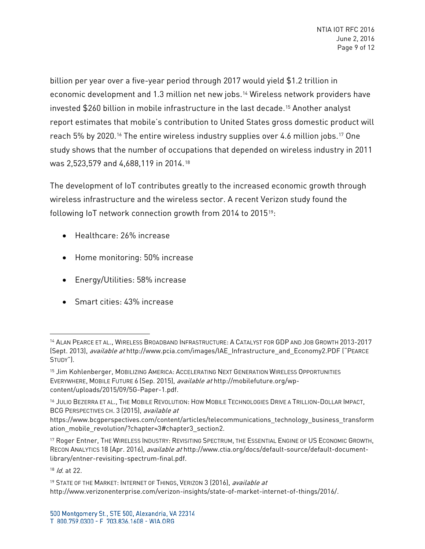billion per year over a five-year period through 2017 would yield \$1.2 trillion in economic development and 1.3 million net new jobs.[14](#page-8-0) Wireless network providers have invested \$260 billion in mobile infrastructure in the last decade.[15](#page-8-1) Another analyst report estimates that mobile's contribution to United States gross domestic product will reach 5% by 2020.<sup>[16](#page-8-2)</sup> The entire wireless industry supplies over 4.6 million jobs.<sup>[17](#page-8-3)</sup> One study shows that the number of occupations that depended on wireless industry in 2011 was 2,523,579 and 4,688,119 in 2014.[18](#page-8-4)

The development of IoT contributes greatly to the increased economic growth through wireless infrastructure and the wireless sector. A recent Verizon study found the following IoT network connection growth from 2014 to 2015[19:](#page-8-5)

- Healthcare: 26% increase
- Home monitoring: 50% increase
- Energy/Utilities: 58% increase
- Smart cities: 43% increase

<span id="page-8-4"></span> $18$  *Id.* at 22.

<span id="page-8-0"></span><sup>&</sup>lt;sup>14</sup> ALAN PEARCE ET AL., WIRELESS BROADBAND INFRASTRUCTURE: A CATALYST FOR GDP AND JOB GROWTH 2013-2017 (Sept. 2013), available at http://www.pcia.com/images/IAE\_Infrastructure\_and\_Economy2.PDF ("PEARCE STUDY").

<span id="page-8-1"></span><sup>&</sup>lt;sup>15</sup> Jim Kohlenberger, MOBILIZING AMERICA: ACCELERATING NEXT GENERATION WIRELESS OPPORTUNITIES EVERYWHERE, MOBILE FUTURE 6 (Sep. 2015), available at http://mobilefuture.org/wpcontent/uploads/2015/09/5G-Paper-1.pdf.

<span id="page-8-2"></span><sup>16</sup> JULIO BEZERRA ET AL., THE MOBILE REVOLUTION: HOW MOBILE TECHNOLOGIES DRIVE A TRILLION-DOLLAR IMPACT, BCG PERSPECTIVES CH. 3 (2015), available at

https://www.bcgperspectives.com/content/articles/telecommunications\_technology\_business\_transform ation mobile revolution/?chapter=3#chapter3 section2.

<span id="page-8-3"></span><sup>17</sup> Roger Entner, THE WIRELESS INDUSTRY: REVISITING SPECTRUM, THE ESSENTIAL ENGINE OF US ECONOMIC GROWTH, RECON ANALYTICS 18 (Apr. 2016), available at http://www.ctia.org/docs/default-source/default-documentlibrary/entner-revisiting-spectrum-final.pdf.

<span id="page-8-5"></span><sup>&</sup>lt;sup>19</sup> STATE OF THE MARKET: INTERNET OF THINGS, VERIZON 3 (2016), *available at* http://www.verizonenterprise.com/verizon-insights/state-of-market-internet-of-things/2016/.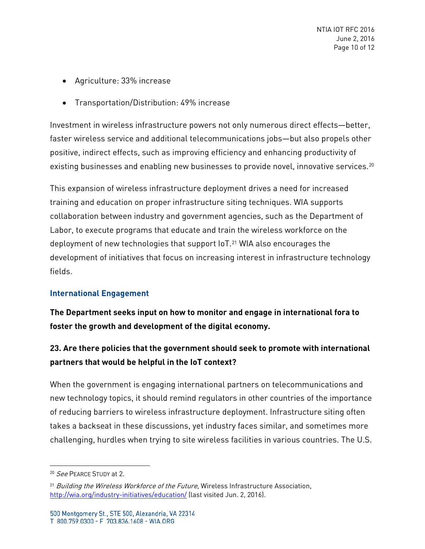- Agriculture: 33% increase
- Transportation/Distribution: 49% increase

Investment in wireless infrastructure powers not only numerous direct effects—better, faster wireless service and additional telecommunications jobs—but also propels other positive, indirect effects, such as improving efficiency and enhancing productivity of existing businesses and enabling new businesses to provide novel, innovative services.<sup>[20](#page-9-0)</sup>

This expansion of wireless infrastructure deployment drives a need for increased training and education on proper infrastructure siting techniques. WIA supports collaboration between industry and government agencies, such as the Department of Labor, to execute programs that educate and train the wireless workforce on the deployment of new technologies that support IoT.<sup>[21](#page-9-1)</sup> WIA also encourages the development of initiatives that focus on increasing interest in infrastructure technology fields.

### **International Engagement**

**The Department seeks input on how to monitor and engage in international fora to foster the growth and development of the digital economy.** 

## **23. Are there policies that the government should seek to promote with international partners that would be helpful in the IoT context?**

When the government is engaging international partners on telecommunications and new technology topics, it should remind regulators in other countries of the importance of reducing barriers to wireless infrastructure deployment. Infrastructure siting often takes a backseat in these discussions, yet industry faces similar, and sometimes more challenging, hurdles when trying to site wireless facilities in various countries. The U.S.

<span id="page-9-0"></span><sup>&</sup>lt;sup>20</sup> See PEARCE STUDY at 2.

<span id="page-9-1"></span><sup>&</sup>lt;sup>21</sup> Building the Wireless Workforce of the Future, Wireless Infrastructure Association, <http://wia.org/industry-initiatives/education/> (last visited Jun. 2, 2016).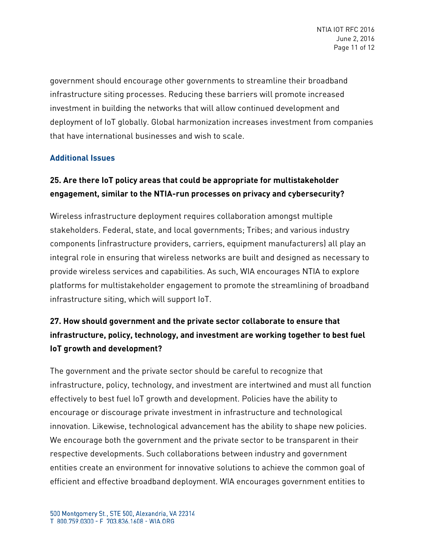government should encourage other governments to streamline their broadband infrastructure siting processes. Reducing these barriers will promote increased investment in building the networks that will allow continued development and deployment of IoT globally. Global harmonization increases investment from companies that have international businesses and wish to scale.

### **Additional Issues**

# **25. Are there IoT policy areas that could be appropriate for multistakeholder engagement, similar to the NTIA-run processes on privacy and cybersecurity?**

Wireless infrastructure deployment requires collaboration amongst multiple stakeholders. Federal, state, and local governments; Tribes; and various industry components (infrastructure providers, carriers, equipment manufacturers) all play an integral role in ensuring that wireless networks are built and designed as necessary to provide wireless services and capabilities. As such, WIA encourages NTIA to explore platforms for multistakeholder engagement to promote the streamlining of broadband infrastructure siting, which will support IoT.

# **27. How should government and the private sector collaborate to ensure that infrastructure, policy, technology, and investment are working together to best fuel IoT growth and development?**

The government and the private sector should be careful to recognize that infrastructure, policy, technology, and investment are intertwined and must all function effectively to best fuel IoT growth and development. Policies have the ability to encourage or discourage private investment in infrastructure and technological innovation. Likewise, technological advancement has the ability to shape new policies. We encourage both the government and the private sector to be transparent in their respective developments. Such collaborations between industry and government entities create an environment for innovative solutions to achieve the common goal of efficient and effective broadband deployment. WIA encourages government entities to